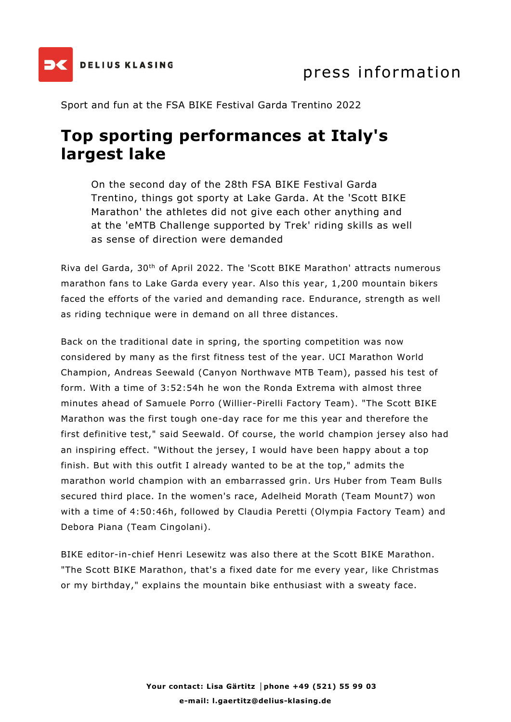

Sport and fun at the FSA BIKE Festival Garda Trentino 2022

## **Top sporting performances at Italy's largest lake**

On the second day of the 28th FSA BIKE Festival Garda Trentino, things got sporty at Lake Garda. At the 'Scott BIKE Marathon' the athletes did not give each other anything and at the 'eMTB Challenge supported by Trek' riding skills as well as sense of direction were demanded

Riva del Garda, 30th of April 2022. The 'Scott BIKE Marathon' attracts numerous marathon fans to Lake Garda every year. Also this year, 1,200 mountain bikers faced the efforts of the varied and demanding race. Endurance, strength as well as riding technique were in demand on all three distances.

Back on the traditional date in spring, the sporting competition was now considered by many as the first fitness test of the year. UCI Marathon World Champion, Andreas Seewald (Canyon Northwave MTB Team), passed his test of form. With a time of 3:52:54h he won the Ronda Extrema with almost three minutes ahead of Samuele Porro (Willier-Pirelli Factory Team). "The Scott BIKE Marathon was the first tough one-day race for me this year and therefore the first definitive test," said Seewald. Of course, the world champion jersey also had an inspiring effect. "Without the jersey, I would have been happy about a top finish. But with this outfit I already wanted to be at the top," admits the marathon world champion with an embarrassed grin. Urs Huber from Team Bulls secured third place. In the women's race, Adelheid Morath (Team Mount7) won with a time of 4:50:46h, followed by Claudia Peretti (Olympia Factory Team) and Debora Piana (Team Cingolani).

BIKE editor-in-chief Henri Lesewitz was also there at the Scott BIKE Marathon. "The Scott BIKE Marathon, that's a fixed date for me every year, like Christmas or my birthday," explains the mountain bike enthusiast with a sweaty face.